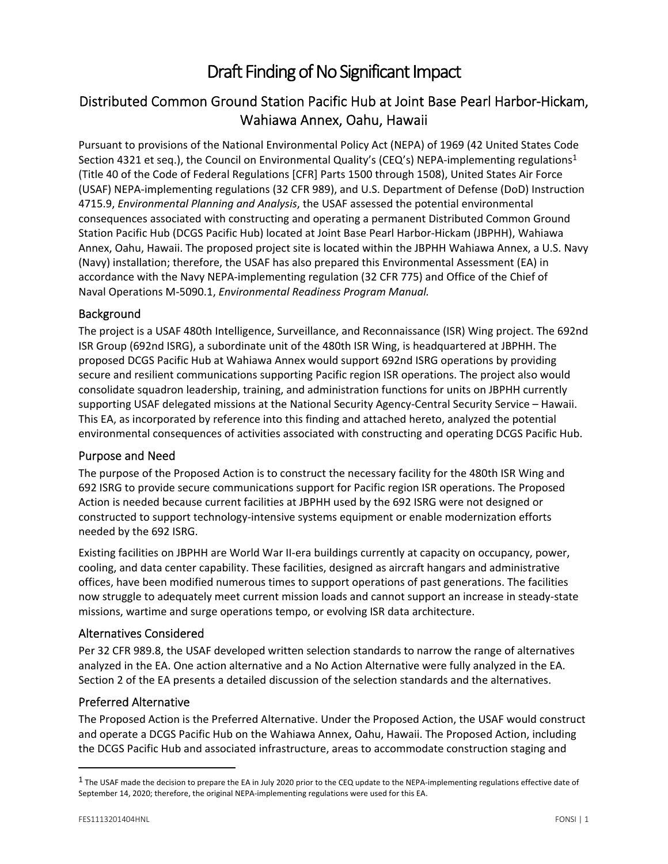# Draft Finding of No Significant Impact

## Distributed Common Ground Station Pacific Hub at Joint Base Pearl Harbor‐Hickam, Wahiawa Annex, Oahu, Hawaii

Pursuant to provisions of the National Environmental Policy Act (NEPA) of 1969 (42 United States Code Section 4321 et seq.), the Council on Environmental Quality's (CEQ's) NEPA-implementing regulations<sup>1</sup> (Title 40 of the Code of Federal Regulations [CFR] Parts 1500 through 1508), United States Air Force (USAF) NEPA‐implementing regulations (32 CFR 989), and U.S. Department of Defense (DoD) Instruction 4715.9, *Environmental Planning and Analysis*, the USAF assessed the potential environmental consequences associated with constructing and operating a permanent Distributed Common Ground Station Pacific Hub (DCGS Pacific Hub) located at Joint Base Pearl Harbor‐Hickam (JBPHH), Wahiawa Annex, Oahu, Hawaii. The proposed project site is located within the JBPHH Wahiawa Annex, a U.S. Navy (Navy) installation; therefore, the USAF has also prepared this Environmental Assessment (EA) in accordance with the Navy NEPA‐implementing regulation (32 CFR 775) and Office of the Chief of Naval Operations M‐5090.1, *Environmental Readiness Program Manual.*

#### Background

The project is a USAF 480th Intelligence, Surveillance, and Reconnaissance (ISR) Wing project. The 692nd ISR Group (692nd ISRG), a subordinate unit of the 480th ISR Wing, is headquartered at JBPHH. The proposed DCGS Pacific Hub at Wahiawa Annex would support 692nd ISRG operations by providing secure and resilient communications supporting Pacific region ISR operations. The project also would consolidate squadron leadership, training, and administration functions for units on JBPHH currently supporting USAF delegated missions at the National Security Agency‐Central Security Service – Hawaii. This EA, as incorporated by reference into this finding and attached hereto, analyzed the potential environmental consequences of activities associated with constructing and operating DCGS Pacific Hub.

#### Purpose and Need

The purpose of the Proposed Action is to construct the necessary facility for the 480th ISR Wing and 692 ISRG to provide secure communications support for Pacific region ISR operations. The Proposed Action is needed because current facilities at JBPHH used by the 692 ISRG were not designed or constructed to support technology‐intensive systems equipment or enable modernization efforts needed by the 692 ISRG.

Existing facilities on JBPHH are World War II‐era buildings currently at capacity on occupancy, power, cooling, and data center capability. These facilities, designed as aircraft hangars and administrative offices, have been modified numerous times to support operations of past generations. The facilities now struggle to adequately meet current mission loads and cannot support an increase in steady‐state missions, wartime and surge operations tempo, or evolving ISR data architecture.

#### Alternatives Considered

Per 32 CFR 989.8, the USAF developed written selection standards to narrow the range of alternatives analyzed in the EA. One action alternative and a No Action Alternative were fully analyzed in the EA. Section 2 of the EA presents a detailed discussion of the selection standards and the alternatives.

#### Preferred Alternative

The Proposed Action is the Preferred Alternative. Under the Proposed Action, the USAF would construct and operate a DCGS Pacific Hub on the Wahiawa Annex, Oahu, Hawaii. The Proposed Action, including the DCGS Pacific Hub and associated infrastructure, areas to accommodate construction staging and

 $1$  The USAF made the decision to prepare the EA in July 2020 prior to the CEQ update to the NEPA-implementing regulations effective date of September 14, 2020; therefore, the original NEPA‐implementing regulations were used for this EA.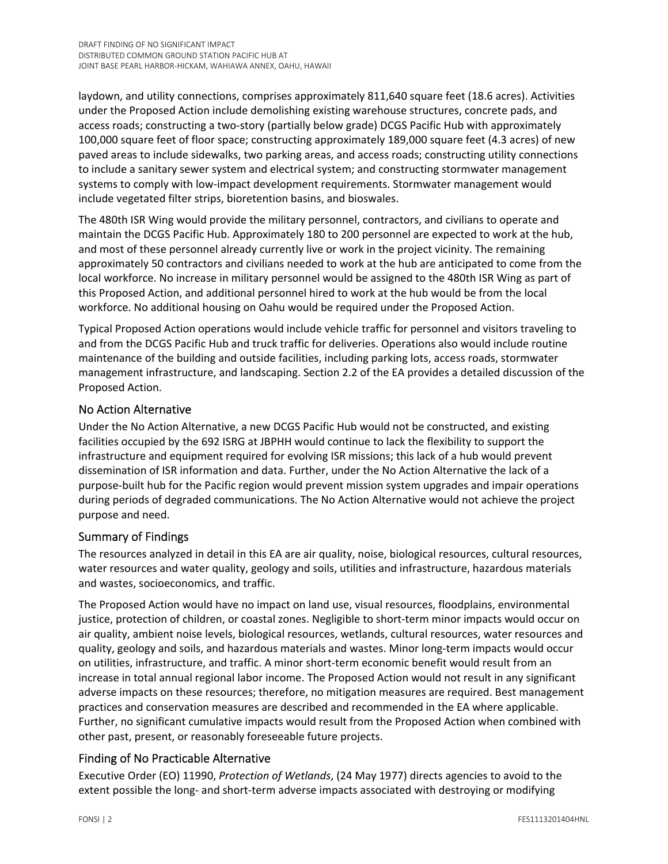laydown, and utility connections, comprises approximately 811,640 square feet (18.6 acres). Activities under the Proposed Action include demolishing existing warehouse structures, concrete pads, and access roads; constructing a two-story (partially below grade) DCGS Pacific Hub with approximately 100,000 square feet of floor space; constructing approximately 189,000 square feet (4.3 acres) of new paved areas to include sidewalks, two parking areas, and access roads; constructing utility connections to include a sanitary sewer system and electrical system; and constructing stormwater management systems to comply with low-impact development requirements. Stormwater management would include vegetated filter strips, bioretention basins, and bioswales.

The 480th ISR Wing would provide the military personnel, contractors, and civilians to operate and maintain the DCGS Pacific Hub. Approximately 180 to 200 personnel are expected to work at the hub, and most of these personnel already currently live or work in the project vicinity. The remaining approximately 50 contractors and civilians needed to work at the hub are anticipated to come from the local workforce. No increase in military personnel would be assigned to the 480th ISR Wing as part of this Proposed Action, and additional personnel hired to work at the hub would be from the local workforce. No additional housing on Oahu would be required under the Proposed Action.

Typical Proposed Action operations would include vehicle traffic for personnel and visitors traveling to and from the DCGS Pacific Hub and truck traffic for deliveries. Operations also would include routine maintenance of the building and outside facilities, including parking lots, access roads, stormwater management infrastructure, and landscaping. Section 2.2 of the EA provides a detailed discussion of the Proposed Action.

#### No Action Alternative

Under the No Action Alternative, a new DCGS Pacific Hub would not be constructed, and existing facilities occupied by the 692 ISRG at JBPHH would continue to lack the flexibility to support the infrastructure and equipment required for evolving ISR missions; this lack of a hub would prevent dissemination of ISR information and data. Further, under the No Action Alternative the lack of a purpose‐built hub for the Pacific region would prevent mission system upgrades and impair operations during periods of degraded communications. The No Action Alternative would not achieve the project purpose and need.

#### Summary of Findings

The resources analyzed in detail in this EA are air quality, noise, biological resources, cultural resources, water resources and water quality, geology and soils, utilities and infrastructure, hazardous materials and wastes, socioeconomics, and traffic.

The Proposed Action would have no impact on land use, visual resources, floodplains, environmental justice, protection of children, or coastal zones. Negligible to short‐term minor impacts would occur on air quality, ambient noise levels, biological resources, wetlands, cultural resources, water resources and quality, geology and soils, and hazardous materials and wastes. Minor long‐term impacts would occur on utilities, infrastructure, and traffic. A minor short‐term economic benefit would result from an increase in total annual regional labor income. The Proposed Action would not result in any significant adverse impacts on these resources; therefore, no mitigation measures are required. Best management practices and conservation measures are described and recommended in the EA where applicable. Further, no significant cumulative impacts would result from the Proposed Action when combined with other past, present, or reasonably foreseeable future projects.

### Finding of No Practicable Alternative

Executive Order (EO) 11990, *Protection of Wetlands*, (24 May 1977) directs agencies to avoid to the extent possible the long‐ and short‐term adverse impacts associated with destroying or modifying